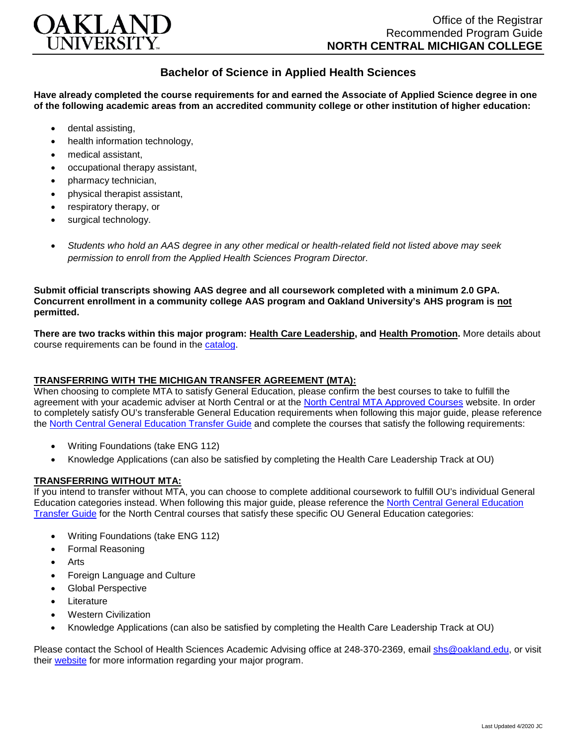

## **Bachelor of Science in Applied Health Sciences**

**Have already completed the course requirements for and earned the Associate of Applied Science degree in one of the following academic areas from an accredited community college or other institution of higher education:**

- dental assisting,
- health information technology.
- medical assistant,
- occupational therapy assistant,
- pharmacy technician,
- physical therapist assistant,
- respiratory therapy, or
- surgical technology.
- *Students who hold an AAS degree in any other medical or health-related field not listed above may seek permission to enroll from the Applied Health Sciences Program Director.*

**Submit official transcripts showing AAS degree and all coursework completed with a minimum 2.0 GPA. Concurrent enrollment in a community college AAS program and Oakland University's AHS program is not permitted.**

**There are two tracks within this major program: Health Care Leadership, and Health Promotion.** More details about course requirements can be found in the [catalog.](http://catalog.oakland.edu/preview_program.php?catoid=44&poid=6779)

## **TRANSFERRING WITH THE MICHIGAN TRANSFER AGREEMENT (MTA):**

When choosing to complete MTA to satisfy General Education, please confirm the best courses to take to fulfill the agreement with your academic adviser at North Central or at the [North Central MTA Approved Courses](https://www.ncmich.edu/resources-support/other-support/mi-transfer-agreement.html) website. In order to completely satisfy OU's transferable General Education requirements when following this major guide, please reference the [North Central General Education Transfer Guide](https://www.oakland.edu/Assets/Oakland/program-guides/north-central-michigan-college/university-general-education-requirements/North%20Central%20Michigan%20Gen%20Ed.pdf) and complete the courses that satisfy the following requirements:

- Writing Foundations (take ENG 112)
- Knowledge Applications (can also be satisfied by completing the Health Care Leadership Track at OU)

## **TRANSFERRING WITHOUT MTA:**

If you intend to transfer without MTA, you can choose to complete additional coursework to fulfill OU's individual General Education categories instead. When following this major guide, please reference the [North Central General Education](https://www.oakland.edu/Assets/Oakland/program-guides/north-central-michigan-college/university-general-education-requirements/North%20Central%20Michigan%20Gen%20Ed.pdf)  [Transfer Guide](https://www.oakland.edu/Assets/Oakland/program-guides/north-central-michigan-college/university-general-education-requirements/North%20Central%20Michigan%20Gen%20Ed.pdf) for the North Central courses that satisfy these specific OU General Education categories:

- Writing Foundations (take ENG 112)
- Formal Reasoning
- **Arts**
- Foreign Language and Culture
- Global Perspective
- **Literature**
- Western Civilization
- Knowledge Applications (can also be satisfied by completing the Health Care Leadership Track at OU)

Please contact the School of Health Sciences Academic Advising office at 248-370-2369, email [shs@oakland.edu,](mailto:shs@oakland.edu) or visit their [website](http://www.oakland.edu/shs/advising) for more information regarding your major program.